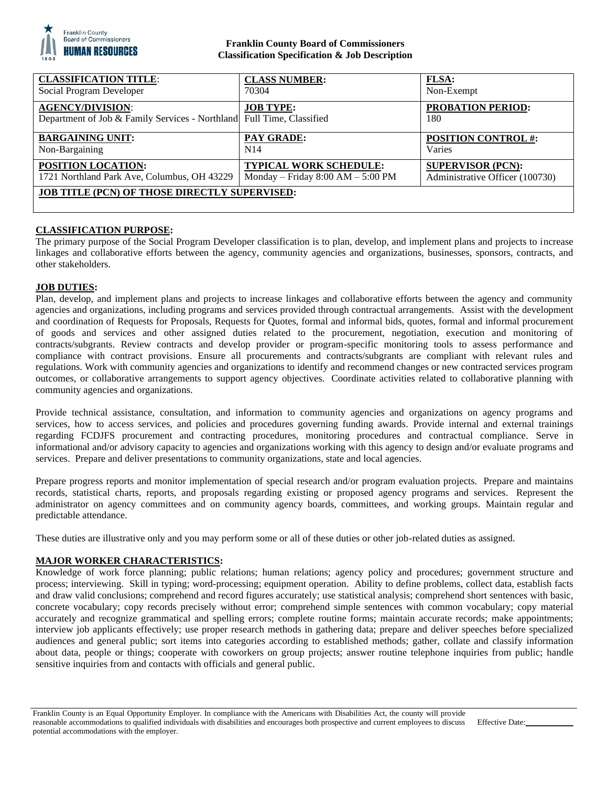

# **Franklin County Board of Commissioners Classification Specification & Job Description**

| <b>CLASSIFICATION TITLE:</b>                                                                     | <b>CLASS NUMBER:</b>                  | <b>FLSA:</b>                    |
|--------------------------------------------------------------------------------------------------|---------------------------------------|---------------------------------|
| Social Program Developer                                                                         | 70304                                 | Non-Exempt                      |
| <b>AGENCY/DIVISION:</b><br>Department of Job & Family Services - Northland Full Time, Classified | <b>JOB TYPE:</b>                      | PROBATION PERIOD:<br>180        |
| <b>BARGAINING UNIT:</b>                                                                          | <b>PAY GRADE:</b>                     | <b>POSITION CONTROL #:</b>      |
| Non-Bargaining                                                                                   | N <sub>14</sub>                       | Varies                          |
| <b>POSITION LOCATION:</b>                                                                        | <b>TYPICAL WORK SCHEDULE:</b>         | <b>SUPERVISOR (PCN):</b>        |
| 1721 Northland Park Ave, Columbus, OH 43229                                                      | Monday – Friday $8:00$ AM – $5:00$ PM | Administrative Officer (100730) |
| <b>JOB TITLE (PCN) OF THOSE DIRECTLY SUPERVISED:</b>                                             |                                       |                                 |

# **CLASSIFICATION PURPOSE:**

The primary purpose of the Social Program Developer classification is to plan, develop, and implement plans and projects to increase linkages and collaborative efforts between the agency, community agencies and organizations, businesses, sponsors, contracts, and other stakeholders.

## **JOB DUTIES:**

Plan, develop, and implement plans and projects to increase linkages and collaborative efforts between the agency and community agencies and organizations, including programs and services provided through contractual arrangements. Assist with the development and coordination of Requests for Proposals, Requests for Quotes, formal and informal bids, quotes, formal and informal procurement of goods and services and other assigned duties related to the procurement, negotiation, execution and monitoring of contracts/subgrants. Review contracts and develop provider or program-specific monitoring tools to assess performance and compliance with contract provisions. Ensure all procurements and contracts/subgrants are compliant with relevant rules and regulations. Work with community agencies and organizations to identify and recommend changes or new contracted services program outcomes, or collaborative arrangements to support agency objectives. Coordinate activities related to collaborative planning with community agencies and organizations.

Provide technical assistance, consultation, and information to community agencies and organizations on agency programs and services, how to access services, and policies and procedures governing funding awards. Provide internal and external trainings regarding FCDJFS procurement and contracting procedures, monitoring procedures and contractual compliance. Serve in informational and/or advisory capacity to agencies and organizations working with this agency to design and/or evaluate programs and services. Prepare and deliver presentations to community organizations, state and local agencies.

Prepare progress reports and monitor implementation of special research and/or program evaluation projects. Prepare and maintains records, statistical charts, reports, and proposals regarding existing or proposed agency programs and services. Represent the administrator on agency committees and on community agency boards, committees, and working groups. Maintain regular and predictable attendance.

These duties are illustrative only and you may perform some or all of these duties or other job-related duties as assigned.

### **MAJOR WORKER CHARACTERISTICS:**

Knowledge of work force planning; public relations; human relations; agency policy and procedures; government structure and process; interviewing. Skill in typing; word-processing; equipment operation. Ability to define problems, collect data, establish facts and draw valid conclusions; comprehend and record figures accurately; use statistical analysis; comprehend short sentences with basic, concrete vocabulary; copy records precisely without error; comprehend simple sentences with common vocabulary; copy material accurately and recognize grammatical and spelling errors; complete routine forms; maintain accurate records; make appointments; interview job applicants effectively; use proper research methods in gathering data; prepare and deliver speeches before specialized audiences and general public; sort items into categories according to established methods; gather, collate and classify information about data, people or things; cooperate with coworkers on group projects; answer routine telephone inquiries from public; handle sensitive inquiries from and contacts with officials and general public.